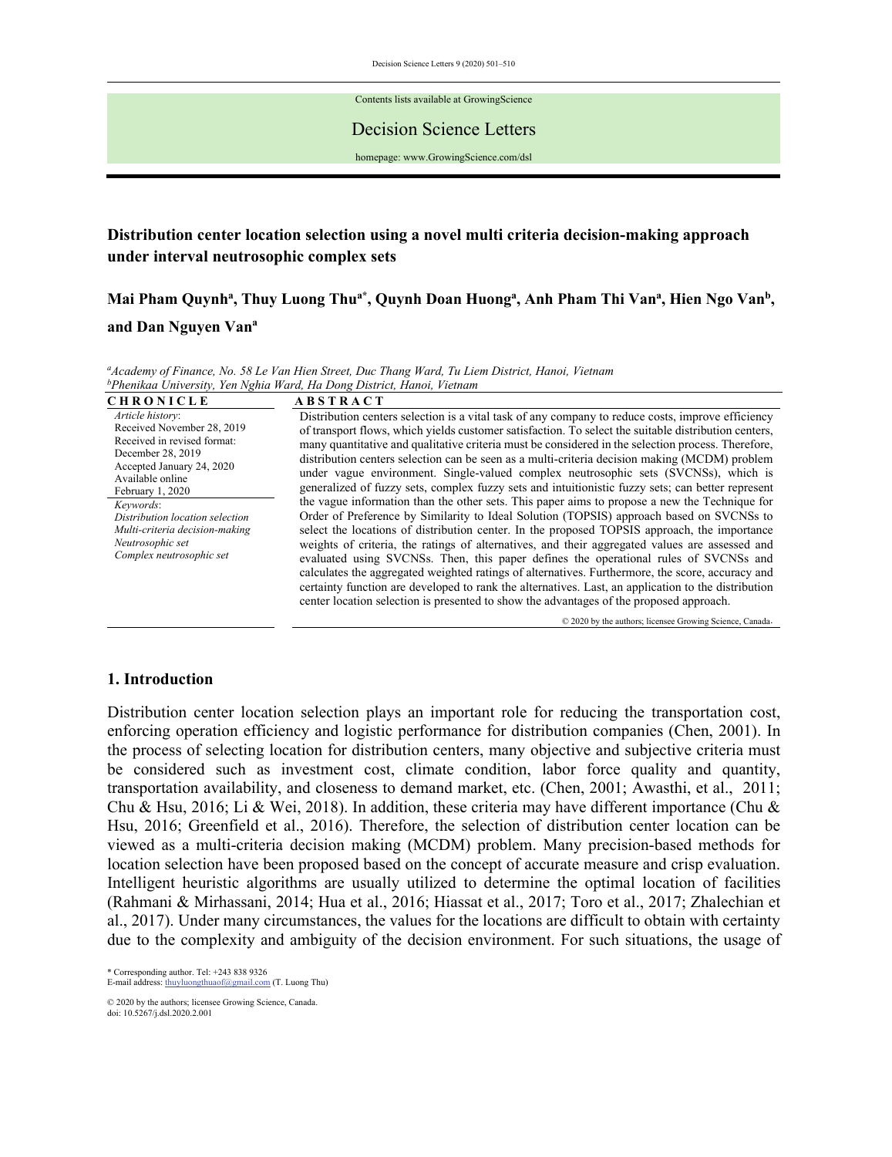Decision Science Letters 9 (2020) 501–510

Contents lists available at GrowingScience

Decision Science Letters

homepage: www.GrowingScience.com/dsl

# **Distribution center location selection using a novel multi criteria decision-making approach under interval neutrosophic complex sets**

Mai Pham Quynh<sup>a</sup>, Thuy Luong Thu<sup>a\*</sup>, Quynh Doan Huong<sup>a</sup>, Anh Pham Thi Van<sup>a</sup>, Hien Ngo Van<sup>b</sup>, and Dan Nguyen Van<sup>a</sup>

<sup>a</sup>Academy of Finance, No. 58 Le Van Hien Street, Duc Thang Ward, Tu Liem District, Hanoi, Vietnam<br><sup>b</sup>Phenikaa University, Yen Nghia Ward, Ha Dong District, Hanoi, Vietnam

| <b>CHRONICLE</b>                                                                                                                                                                                                                                                                                          | <b>ABSTRACT</b>                                                                                                                                                                                                                                                                                                                                                                                                                                                                                                                                                                                                                                                                                                                                                                                                                                                                                           |
|-----------------------------------------------------------------------------------------------------------------------------------------------------------------------------------------------------------------------------------------------------------------------------------------------------------|-----------------------------------------------------------------------------------------------------------------------------------------------------------------------------------------------------------------------------------------------------------------------------------------------------------------------------------------------------------------------------------------------------------------------------------------------------------------------------------------------------------------------------------------------------------------------------------------------------------------------------------------------------------------------------------------------------------------------------------------------------------------------------------------------------------------------------------------------------------------------------------------------------------|
| Article history:<br>Received November 28, 2019<br>Received in revised format:<br>December 28, 2019<br>Accepted January 24, 2020<br>Available online<br>February 1, 2020<br>Keywords:<br>Distribution location selection<br>Multi-criteria decision-making<br>Neutrosophic set<br>Complex neutrosophic set | Distribution centers selection is a vital task of any company to reduce costs, improve efficiency<br>of transport flows, which yields customer satisfaction. To select the suitable distribution centers,<br>many quantitative and qualitative criteria must be considered in the selection process. Therefore,<br>distribution centers selection can be seen as a multi-criteria decision making (MCDM) problem<br>under vague environment. Single-valued complex neutrosophic sets (SVCNSs), which is<br>generalized of fuzzy sets, complex fuzzy sets and intuitionistic fuzzy sets; can better represent<br>the vague information than the other sets. This paper aims to propose a new the Technique for<br>Order of Preference by Similarity to Ideal Solution (TOPSIS) approach based on SVCNSs to<br>select the locations of distribution center. In the proposed TOPSIS approach, the importance |
|                                                                                                                                                                                                                                                                                                           | weights of criteria, the ratings of alternatives, and their aggregated values are assessed and<br>evaluated using SVCNSs. Then, this paper defines the operational rules of SVCNSs and<br>calculates the aggregated weighted ratings of alternatives. Furthermore, the score, accuracy and<br>certainty function are developed to rank the alternatives. Last, an application to the distribution<br>center location selection is presented to show the advantages of the proposed approach.                                                                                                                                                                                                                                                                                                                                                                                                              |

© 2020 by the authors; licensee Growing Science, Canada.

## **1. Introduction**

Distribution center location selection plays an important role for reducing the transportation cost, enforcing operation efficiency and logistic performance for distribution companies (Chen, 2001). In the process of selecting location for distribution centers, many objective and subjective criteria must be considered such as investment cost, climate condition, labor force quality and quantity, transportation availability, and closeness to demand market, etc. (Chen, 2001; Awasthi, et al., 2011; Chu & Hsu, 2016; Li & Wei, 2018). In addition, these criteria may have different importance (Chu & Hsu, 2016; Greenfield et al., 2016). Therefore, the selection of distribution center location can be viewed as a multi-criteria decision making (MCDM) problem. Many precision-based methods for location selection have been proposed based on the concept of accurate measure and crisp evaluation. Intelligent heuristic algorithms are usually utilized to determine the optimal location of facilities (Rahmani & Mirhassani, 2014; Hua et al., 2016; Hiassat et al., 2017; Toro et al., 2017; Zhalechian et al., 2017). Under many circumstances, the values for the locations are difficult to obtain with certainty due to the complexity and ambiguity of the decision environment. For such situations, the usage of

\* Corresponding author. Tel: +243 838 9326 E-mail address: thuyluongthuaof@gmail.com (T. Luong Thu)

© 2020 by the authors; licensee Growing Science, Canada. doi: 10.5267/j.dsl.2020.2.001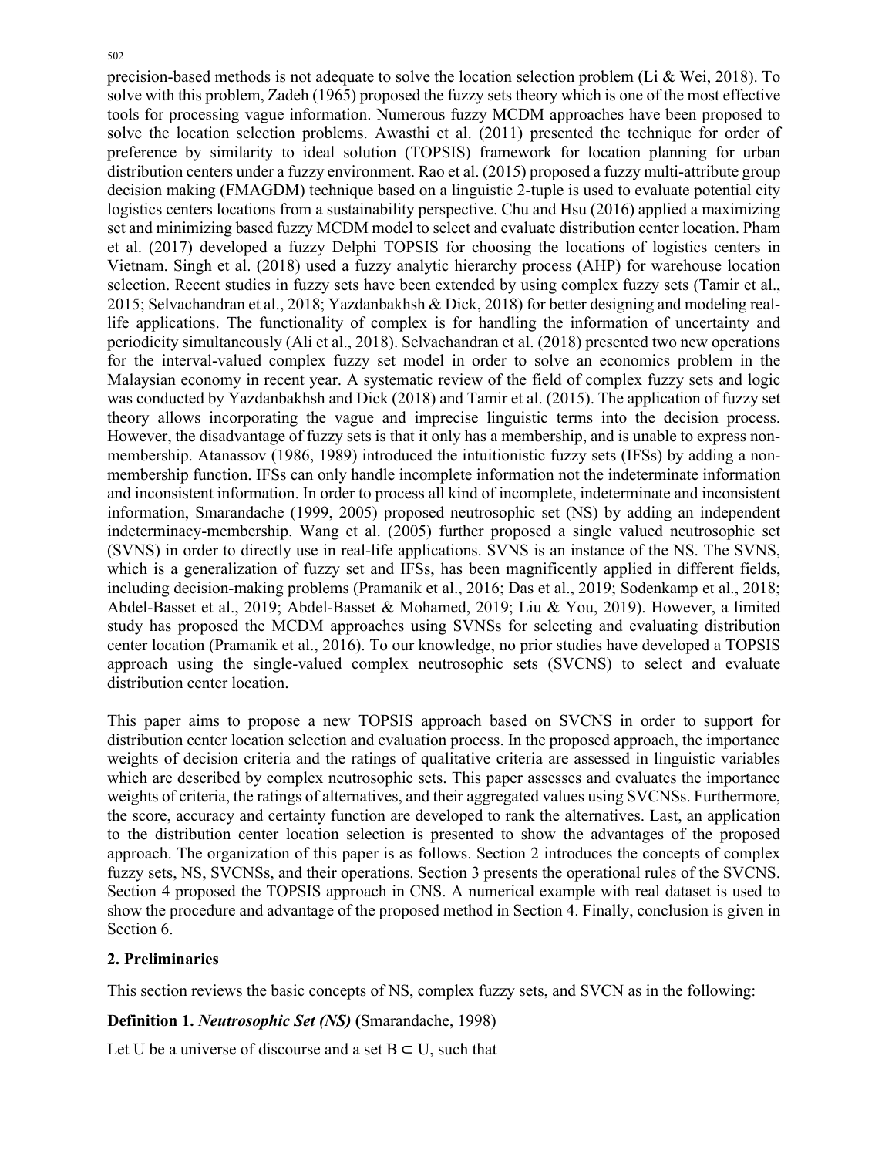precision-based methods is not adequate to solve the location selection problem (Li & Wei, 2018). To solve with this problem, Zadeh (1965) proposed the fuzzy sets theory which is one of the most effective tools for processing vague information. Numerous fuzzy MCDM approaches have been proposed to solve the location selection problems. Awasthi et al. (2011) presented the technique for order of preference by similarity to ideal solution (TOPSIS) framework for location planning for urban distribution centers under a fuzzy environment. Rao et al. (2015) proposed a fuzzy multi-attribute group decision making (FMAGDM) technique based on a linguistic 2-tuple is used to evaluate potential city logistics centers locations from a sustainability perspective. Chu and Hsu (2016) applied a maximizing set and minimizing based fuzzy MCDM model to select and evaluate distribution center location. Pham et al. (2017) developed a fuzzy Delphi TOPSIS for choosing the locations of logistics centers in Vietnam. Singh et al. (2018) used a fuzzy analytic hierarchy process (AHP) for warehouse location selection. Recent studies in fuzzy sets have been extended by using complex fuzzy sets (Tamir et al., 2015; Selvachandran et al., 2018; Yazdanbakhsh & Dick, 2018) for better designing and modeling reallife applications. The functionality of complex is for handling the information of uncertainty and periodicity simultaneously (Ali et al., 2018). Selvachandran et al. (2018) presented two new operations for the interval-valued complex fuzzy set model in order to solve an economics problem in the Malaysian economy in recent year. A systematic review of the field of complex fuzzy sets and logic was conducted by Yazdanbakhsh and Dick (2018) and Tamir et al. (2015). The application of fuzzy set theory allows incorporating the vague and imprecise linguistic terms into the decision process. However, the disadvantage of fuzzy sets is that it only has a membership, and is unable to express nonmembership. Atanassov (1986, 1989) introduced the intuitionistic fuzzy sets (IFSs) by adding a nonmembership function. IFSs can only handle incomplete information not the indeterminate information and inconsistent information. In order to process all kind of incomplete, indeterminate and inconsistent information, Smarandache (1999, 2005) proposed neutrosophic set (NS) by adding an independent indeterminacy-membership. Wang et al. (2005) further proposed a single valued neutrosophic set (SVNS) in order to directly use in real-life applications. SVNS is an instance of the NS. The SVNS, which is a generalization of fuzzy set and IFSs, has been magnificently applied in different fields, including decision-making problems (Pramanik et al., 2016; Das et al., 2019; Sodenkamp et al., 2018; Abdel-Basset et al., 2019; Abdel-Basset & Mohamed, 2019; Liu & You, 2019). However, a limited study has proposed the MCDM approaches using SVNSs for selecting and evaluating distribution center location (Pramanik et al., 2016). To our knowledge, no prior studies have developed a TOPSIS approach using the single-valued complex neutrosophic sets (SVCNS) to select and evaluate distribution center location.

This paper aims to propose a new TOPSIS approach based on SVCNS in order to support for distribution center location selection and evaluation process. In the proposed approach, the importance weights of decision criteria and the ratings of qualitative criteria are assessed in linguistic variables which are described by complex neutrosophic sets. This paper assesses and evaluates the importance weights of criteria, the ratings of alternatives, and their aggregated values using SVCNSs. Furthermore, the score, accuracy and certainty function are developed to rank the alternatives. Last, an application to the distribution center location selection is presented to show the advantages of the proposed approach. The organization of this paper is as follows. Section 2 introduces the concepts of complex fuzzy sets, NS, SVCNSs, and their operations. Section 3 presents the operational rules of the SVCNS. Section 4 proposed the TOPSIS approach in CNS. A numerical example with real dataset is used to show the procedure and advantage of the proposed method in Section 4. Finally, conclusion is given in Section 6.

# **2. Preliminaries**

This section reviews the basic concepts of NS, complex fuzzy sets, and SVCN as in the following:

**Definition 1.** *Neutrosophic Set (NS)* **(**Smarandache, 1998)

Let U be a universe of discourse and a set  $B \subset U$ , such that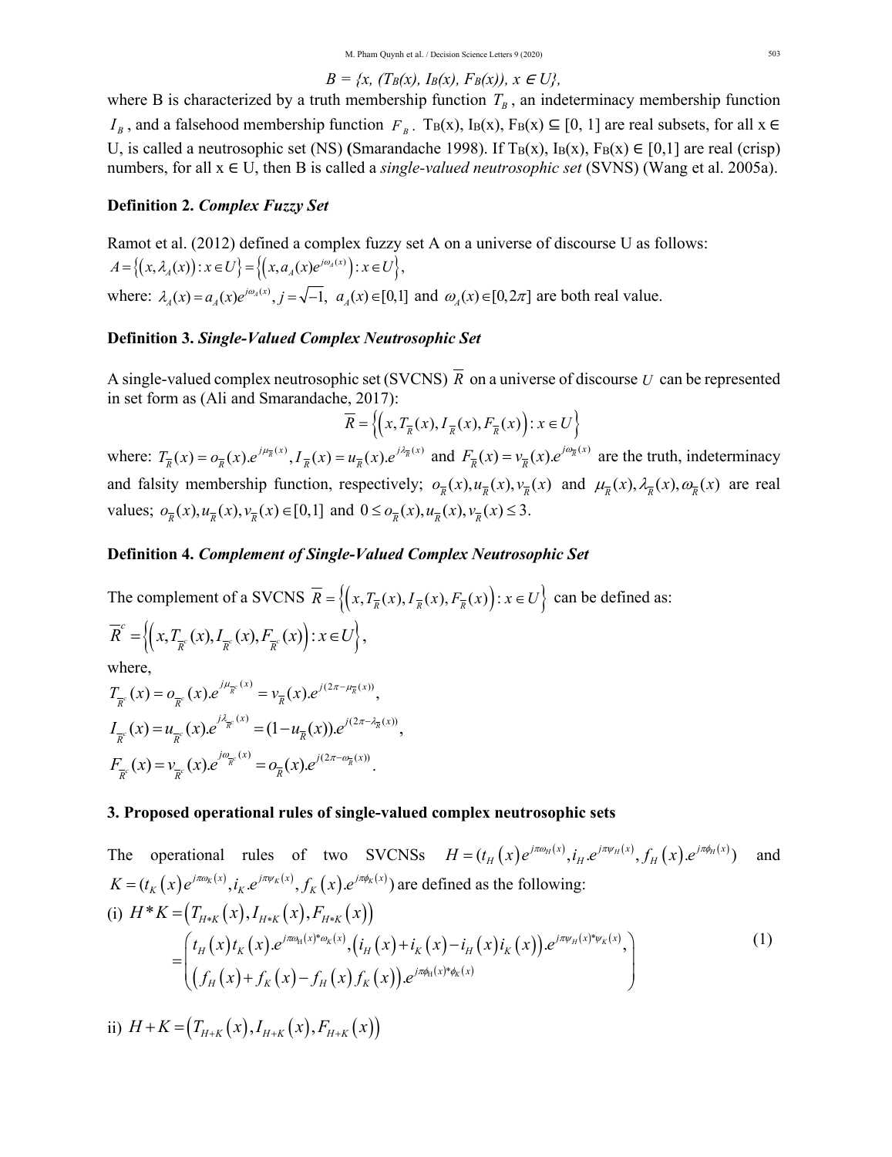$$
B = \{x, (T_B(x), I_B(x), F_B(x)), x \in U\},\
$$

where B is characterized by a truth membership function  $T_B$ , an indeterminacy membership function  $I_B$ , and a falsehood membership function  $F_B$ . T<sub>B</sub>(x), I<sub>B</sub>(x), F<sub>B</sub>(x) ⊆ [0, 1] are real subsets, for all x ∈ U, is called a neutrosophic set (NS) (Smarandache 1998). If T<sub>B</sub>(x),  $I_B(x)$ ,  $F_B(x) \in [0,1]$  are real (crisp) numbers, for all x ∈ U, then B is called a *single-valued neutrosophic set* (SVNS) (Wang et al. 2005a).

### **Definition 2.** *Complex Fuzzy Set*

Ramot et al. (2012) defined a complex fuzzy set A on a universe of discourse U as follows:  $A = \{(x, \lambda_A(x)) : x \in U\} = \{(x, a_A(x)e^{j\omega_A(x)}): x \in U\},\$ where:  $\lambda_A(x) = a_A(x)e^{j\omega_A(x)}, j = \sqrt{-1}, a_A(x) \in [0,1]$  and  $\omega_A(x) \in [0,2\pi]$  are both real value.

### **Definition 3.** *Single-Valued Complex Neutrosophic Set*

A single-valued complex neutrosophic set (SVCNS)  $\overline{R}$  on a universe of discourse *U* can be represented in set form as (Ali and Smarandache, 2017):

$$
\overline{R} = \left\{ \left( x, T_{\overline{R}}(x), I_{\overline{R}}(x), F_{\overline{R}}(x) \right) : x \in U \right\}
$$

where:  $T_{\overline{R}}(x) = o_{\overline{R}}(x) \cdot e^{j\mu_{\overline{R}}(x)}$ ,  $I_{\overline{R}}(x) = u_{\overline{R}}(x) \cdot e^{j\lambda_{\overline{R}}(x)}$  and  $F_{\overline{R}}(x) = v_{\overline{R}}(x) \cdot e^{j\omega_{\overline{R}}(x)}$  are the truth, indeterminacy and falsity membership function, respectively;  $\sigma_{\overline{p}}(x), u_{\overline{p}}(x), v_{\overline{p}}(x)$  and  $\mu_{\overline{p}}(x), \lambda_{\overline{p}}(x), \omega_{\overline{p}}(x)$  are real values;  $o_{\overline{p}}(x), u_{\overline{p}}(x), v_{\overline{p}}(x) \in [0,1]$  and  $0 \le o_{\overline{p}}(x), u_{\overline{p}}(x), v_{\overline{p}}(x) \le 3$ .

#### **Definition 4.** *Complement of Single-Valued Complex Neutrosophic Set*

The complement of a SVCNS  $\overline{R} = \left\{ (x, T_{\overline{R}}(x), I_{\overline{R}}(x), F_{\overline{R}}(x)) : x \in U \right\}$  can be defined as:

$$
\overline{R}^c = \left\{ \left( x, T_{\overline{R}^c}(x), I_{\overline{R}^c}(x), F_{\overline{R}^c}(x) \right) : x \in U \right\},\
$$

where,

$$
T_{\overline{R}^c}(x) = o_{\overline{R}^c}(x) e^{j\mu_{\overline{R}^c}(x)} = v_{\overline{R}}(x) e^{j(2\pi - \mu_{\overline{R}}(x))},
$$
  
\n
$$
I_{\overline{R}^c}(x) = u_{\overline{R}^c}(x) e^{j\lambda_{\overline{R}^c}(x)} = (1 - u_{\overline{R}}(x)) e^{j(2\pi - \lambda_{\overline{R}}(x))},
$$
  
\n
$$
F_{\overline{R}^c}(x) = v_{\overline{R}^c}(x) e^{j\omega_{\overline{R}^c}(x)} = o_{\overline{R}}(x) e^{j(2\pi - \omega_{\overline{R}}(x))}.
$$

### **3. Proposed operational rules of single-valued complex neutrosophic sets**

The operational rules of two SVCNSs  $H = (t_H(x)e^{j\pi\omega_H(x)}, t_H e^{j\pi\psi_H(x)}, f_H(x)e^{j\pi\phi_H(x)})$  and  $K = (t_K(x)e^{j\pi\omega_K(x)}, i_K e^{j\pi\psi_K(x)}, f_K(x)e^{j\pi\phi_K(x)})$  are defined as the following: (i)  $H^*K = (T_{H^*K}(x), I_{H^*K}(x), F_{H^*K}(x))$  $=\int_{0}^{t} t_{H}(x) t_{K}(x) e^{j\pi\omega_{H}(x)*\omega_{K}(x)} \cdot (i_{H}(x) + i_{K}(x) - i_{H}(x) i_{K}(x)) e^{j\pi\omega_{H}(x)*\omega_{K}(x)}$  $\big(f_{H}\big(x\big)\!+\!f_{_{\!K}}\big(x\big)\!-\!f_{_{\!H}}\big(x\big)f_{_{\!K}}\big(x\big)\big)\!.e^{j\pi\phi_{\!H}\left(x\right)^*\phi_{_{\!K}}\left(x\right)}$ H H \* $\omega_K(x)$  ( ; ( , ) ; ( , ) ; ( , ) ; ( , )  $\omega_K(x)$  ; ( ) \*  $. e^{j\pi\omega_{\rm H}(x)^*\omega_{\rm K}(x)}, (i_{\rm H}(x)+i_{\rm K}(x)-i_{\rm H}(x)i_{\rm K}(x)). e^{j\pi\psi_{\rm H}(x)^*\psi_{\rm K}(x)},$ .  $K^{(X)}$  (i  $(\mathbf{v}) + i$   $(\mathbf{v}) - i$   $(\mathbf{v})i$   $(\mathbf{v})$   $\partial^{J\pi\psi_{H}(X)\psi_{K}}$ *K jx x j x x*  $H(\lambda)^t K(\lambda)^t$   $\qquad \qquad$   $\qquad \qquad$   $\qquad$   $\qquad \qquad$   $\qquad$   $\qquad \qquad$   $\qquad \qquad$   $\qquad \qquad$   $\qquad \qquad$   $\qquad \qquad$   $\qquad \qquad$   $\qquad \qquad$   $\qquad \qquad$   $\qquad \qquad$   $\qquad \qquad$   $\qquad \qquad$   $\qquad \qquad$   $\qquad \qquad$   $\qquad \qquad$   $\qquad \qquad$   $\qquad \qquad$   $\qquad \qquad$   $\qquad \qquad$   $\qquad \qquad$  $j\pi\phi_H(x)^*\phi_K(x)$  $H(\lambda)$ <sup>T</sup>  $J_K(\lambda)$   $J_H(\lambda)J_K$  $t_{_H}(x)t_{_K}(x).e^{\jmath\pi\omega_{\text{H}}(x)^*\omega_{K}(x)}, (i_{_H}(x)+i_{_K}(x)-i_{_H}(x)i_{_K}(x)).$  $f_{H}(x) + f_{K}(x) - f_{H}(x) f_{K}(x)$ ).e  $\pi \omega_{\rm H}(x)^* \omega_{\rm K}(x)$  (  $\pi$  )  $\pi$  (  $\pi$  )  $\pi$  (  $\pi$  )  $\pi$  (  $\pi$  )  $\pi$  )  $\pi$  ( $\pi$  )  $\pi$  ( $\pi$ )  $\pi$  ( $\pi$ )  $\pi$  $=\left(\frac{t_H(x)t_K(x)e^{j\pi\omega_H(x)*\omega_K(x)}\cdot\left(i_H(x)+i_K(x)-i_H(x)i_K(x)\right)e^{j\pi\omega_H(x)*\omega_K(x)}}{\left(\frac{t}{K}f(x)+f(x)-f(x)\right)e^{j\pi\omega_H(x)*\omega_K(x)}}\right)$  $\left( (f_H(x) + f_K(x) - f_H(x) f_K(x)) \cdot e^{j \pi \phi_H(x) \cdot \phi_K(x)} \right)$ (1)

ii)  $H + K = (T_{H \cup K}(x), I_{H \cup K}(x), F_{H \cup K}(x))$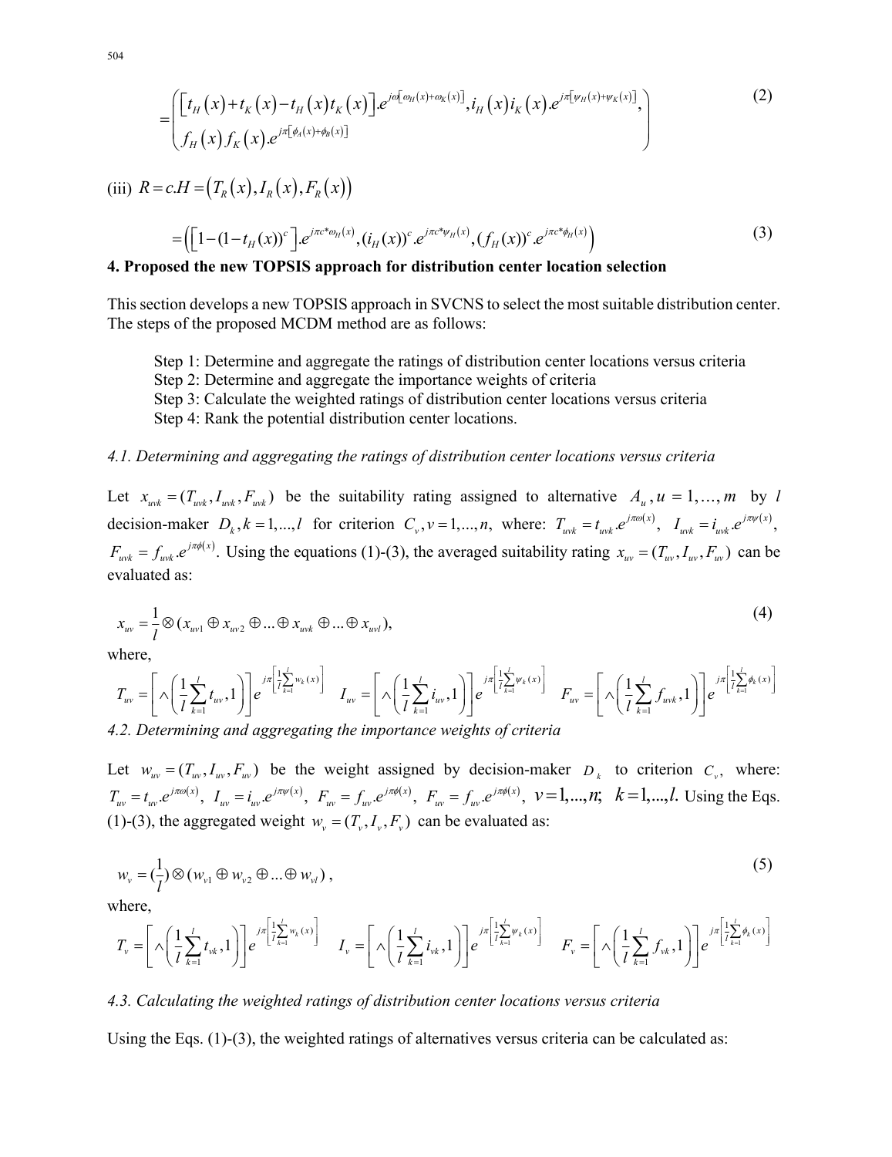504

$$
= \left( \begin{bmatrix} t_H(x) + t_K(x) - t_H(x) t_K(x) \end{bmatrix} . e^{j\omega[\omega_H(x) + \omega_K(x)]} , i_H(x) i_K(x) . e^{j\pi[\psi_H(x) + \psi_K(x)]} , \begin{bmatrix} t_H(x) f_K(x) . e^{j\pi[\omega_H(x) + \omega_K(x)]} , \end{bmatrix} \right)
$$
 (2)

(iii)  $R = c.H = (T_R(x), I_R(x), F_R(x))$ 

$$
= \left( \left[ 1 - (1 - t_H(x))^{c} \right] e^{j\pi c^{*}\omega_H(x)}, (i_H(x))^{c} e^{j\pi c^{*}\psi_H(x)}, (f_H(x))^{c} e^{j\pi c^{*}\phi_H(x)} \right) \tag{3}
$$

### **4. Proposed the new TOPSIS approach for distribution center location selection**

This section develops a new TOPSIS approach in SVCNS to select the most suitable distribution center. The steps of the proposed MCDM method are as follows:

Step 1: Determine and aggregate the ratings of distribution center locations versus criteria Step 2: Determine and aggregate the importance weights of criteria

Step 3: Calculate the weighted ratings of distribution center locations versus criteria

Step 4: Rank the potential distribution center locations.

#### *4.1. Determining and aggregating the ratings of distribution center locations versus criteria*

Let  $x_{wk} = (T_{wk}, I_{wk}, F_{wk})$  be the suitability rating assigned to alternative  $A_u$ ,  $u = 1,..., m$  by *l* decision-maker  $D_k$ ,  $k = 1,...,l$  for criterion  $C_v$ ,  $v = 1,...,n$ , where:  $T_{wk} = t_{wk} e^{j\pi\omega(x)}$ ,  $I_{wk} = i_{wk} e^{j\pi\omega(x)}$ ,  $F_{wk} = f_{wk} e^{j\pi\phi(x)}$ . Using the equations (1)-(3), the averaged suitability rating  $x_{w} = (T_w, I_w, F_w)$  can be evaluated as:

$$
x_{uv} = \frac{1}{l} \otimes (x_{uv1} \oplus x_{uv2} \oplus \dots \oplus x_{uvk} \oplus \dots \oplus x_{uvl}),
$$
\n(4)

where,

$$
T_{uv} = \left[\left(\sqrt{\frac{1}{l}\sum_{k=1}^{l}t_{uv}},1\right)\right]e^{j\pi\left[\frac{1}{l}\sum_{k=1}^{l}w_{k}(x)\right]} \quad I_{uv} = \left[\left(\sqrt{\frac{1}{l}\sum_{k=1}^{l}t_{uv}},1\right)\right]e^{j\pi\left[\frac{1}{l}\sum_{k=1}^{l}w_{k}(x)\right]} \quad F_{uv} = \left[\left(\sqrt{\frac{1}{l}\sum_{k=1}^{l}f_{uvk}},1\right)\right]e^{j\pi\left[\frac{1}{l}\sum_{k=1}^{l}w_{k}(x)\right]}
$$

*4.2. Determining and aggregating the importance weights of criteria* 

Let  $w_w = (T_w, I_w, F_w)$  be the weight assigned by decision-maker  $D_k$  to criterion  $C_v$ , where:  $T_{uv} = t_{uv} e^{j\pi\omega(x)}$ ,  $I_{uv} = i_{uv} e^{j\pi\psi(x)}$ ,  $F_{uv} = f_{uv} e^{j\pi\phi(x)}$ ,  $F_{uv} = f_{uv} e^{j\pi\phi(x)}$ ,  $v = 1,...,n$ ;  $k = 1,...,l$ . Using the Eqs. (1)-(3), the aggregated weight  $w_v = (T_v, I_v, F_v)$  can be evaluated as:

$$
w_{v} = \left(\frac{1}{l}\right) \otimes \left(w_{v1} \oplus w_{v2} \oplus \ldots \oplus w_{vl}\right),\tag{5}
$$

where,

$$
T_{\nu} = \left[\left.\bigwedge\left(\frac{1}{l}\sum_{k=1}^{l}t_{\nu k},1\right)\right]\right]e^{j\pi\left[\frac{1}{l}\sum_{k=1}^{l}w_{k}(x)\right]} \qquad I_{\nu} = \left[\left.\bigwedge\left(\frac{1}{l}\sum_{k=1}^{l}t_{\nu k},1\right)\right]\right]e^{j\pi\left[\frac{1}{l}\sum_{k=1}^{l}w_{k}(x)\right]} \qquad F_{\nu} = \left[\left.\bigwedge\left(\frac{1}{l}\sum_{k=1}^{l}f_{\nu k},1\right)\right]\right]e^{j\pi\left[\frac{1}{l}\sum_{k=1}^{l}w_{k}(x)\right]}
$$

#### *4.3. Calculating the weighted ratings of distribution center locations versus criteria*

Using the Eqs.  $(1)-(3)$ , the weighted ratings of alternatives versus criteria can be calculated as: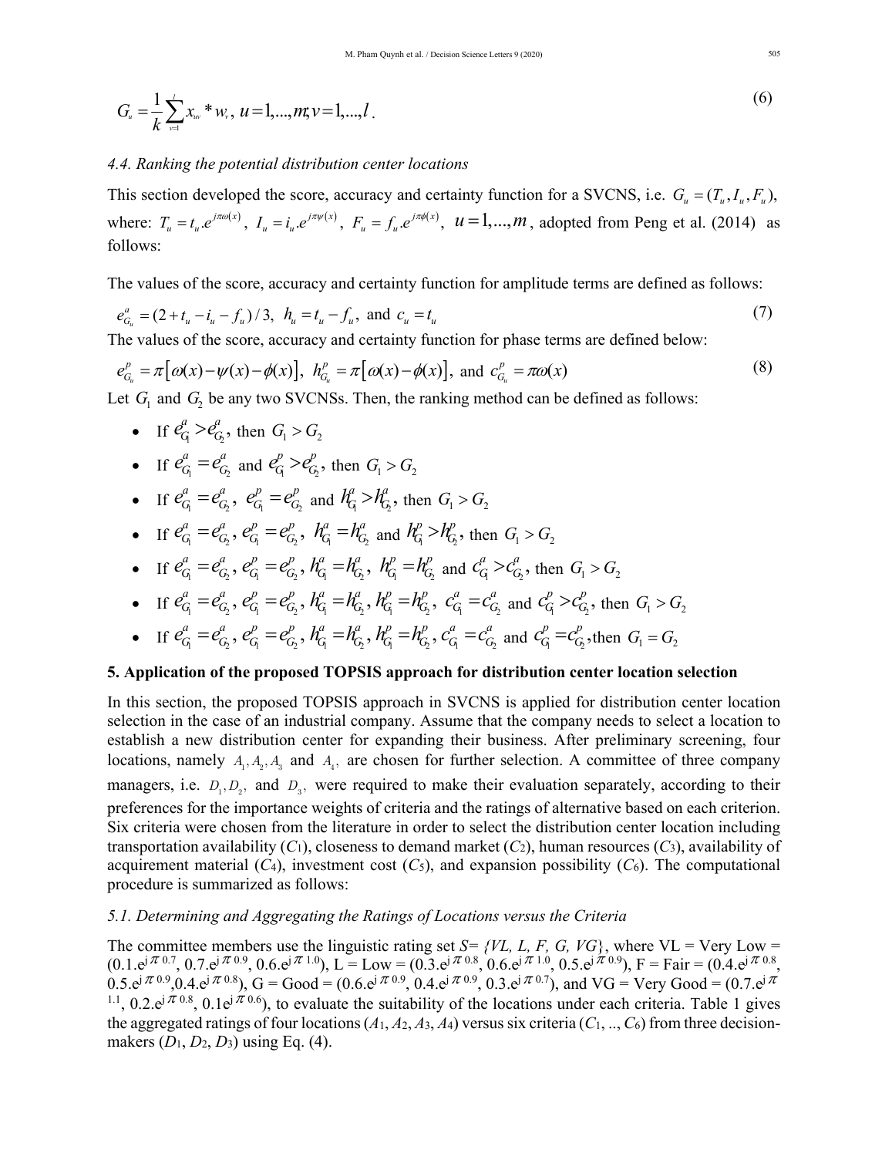$$
G_{u} = \frac{1}{k} \sum_{v=1}^{l} x_{uv} * w_{v}, \ u = 1, ..., m; \ v = 1, ..., l \tag{6}
$$

#### *4.4. Ranking the potential distribution center locations*

This section developed the score, accuracy and certainty function for a SVCNS, i.e.  $G_u = (T_u, I_u, F_u)$ , where:  $T_u = t_u e^{j\pi\omega(x)}$ ,  $I_u = i_u e^{j\pi\psi(x)}$ ,  $F_u = f_u e^{j\pi\phi(x)}$ ,  $u = 1,...,m$ , adopted from Peng et al. (2014) as follows:

The values of the score, accuracy and certainty function for amplitude terms are defined as follows:

$$
e_{G_u}^a = (2 + t_u - i_u - f_u) / 3, \ \ h_u = t_u - f_u, \text{ and } c_u = t_u
$$
 (7)

The values of the score, accuracy and certainty function for phase terms are defined below:

$$
e_{G_u}^p = \pi \big[\omega(x) - \psi(x) - \phi(x)\big], \quad h_{G_u}^p = \pi \big[\omega(x) - \phi(x)\big], \quad \text{and} \quad c_{G_u}^p = \pi \omega(x) \tag{8}
$$

Let  $G_1$  and  $G_2$  be any two SVCNSs. Then, the ranking method can be defined as follows:

- If  $e_G^a > e_G^a$ , then  $G_1 > G_2$
- If  $e_{G_1}^a = e_{G_2}^a$  and  $e_{G_1}^p > e_{G_2}^p$ , then  $G_1 > G_2$
- If  $e_{G_1}^a = e_{G_2}^a$ ,  $e_{G_1}^p = e_{G_2}^p$  and  $h_G^a > h_{G_2}^a$ , then  $G_1 > G_2$
- If  $e_{G_1}^a = e_{G_2}^a$ ,  $e_{G_1}^p = e_{G_2}^p$ ,  $h_{G_1}^a = h_{G_2}^a$  and  $h_{G_1}^p > h_{G_2}^p$ , then  $G_1 > G_2$
- If  $e_{G_1}^a = e_{G_2}^a$ ,  $e_{G_1}^p = e_{G_2}^p$ ,  $h_{G_1}^a = h_{G_2}^a$ ,  $h_{G_1}^p = h_{G_2}^p$  and  $c_{G_1}^a > c_{G_2}^a$ , then  $G_1 > G_2$

• If 
$$
e_{G_1}^a = e_{G_2}^a
$$
,  $e_{G_1}^p = e_{G_2}^p$ ,  $h_{G_1}^a = h_{G_2}^a$ ,  $h_{G_1}^p = h_{G_2}^p$ ,  $c_{G_1}^a = c_{G_2}^a$  and  $c_{G_1}^p > c_{G_2}^p$ , then  $G_1 > G_2$ 

• If  $e_{G_1}^a = e_{G_2}^a$ ,  $e_{G_1}^p = e_{G_2}^p$ ,  $h_{G_1}^a = h_{G_2}^a$ ,  $h_{G_1}^p = h_{G_2}^p$ ,  $c_{G_1}^a = c_{G_2}^a$  and  $c_{G_1}^p = c_{G_2}^p$ , then  $G_1 = G_2$ 

### **5. Application of the proposed TOPSIS approach for distribution center location selection**

In this section, the proposed TOPSIS approach in SVCNS is applied for distribution center location selection in the case of an industrial company. Assume that the company needs to select a location to establish a new distribution center for expanding their business. After preliminary screening, four locations, namely  $A_1, A_2, A_3$  and  $A_4$ , are chosen for further selection. A committee of three company managers, i.e.  $D_1, D_2$ , and  $D_3$ , were required to make their evaluation separately, according to their preferences for the importance weights of criteria and the ratings of alternative based on each criterion. Six criteria were chosen from the literature in order to select the distribution center location including transportation availability  $(C_1)$ , closeness to demand market  $(C_2)$ , human resources  $(C_3)$ , availability of acquirement material  $(C_4)$ , investment cost  $(C_5)$ , and expansion possibility  $(C_6)$ . The computational procedure is summarized as follows:

## *5.1. Determining and Aggregating the Ratings of Locations versus the Criteria*

The committee members use the linguistic rating set  $S = \{VL, L, F, G, VG\}$ , where  $VL = Very Low =$  $(0.1.e^{j\pi/0.7}, 0.7.e^{j\pi/0.9}, 0.6.e^{j\pi/1.0}), L = Low = (0.3.e^{j\pi/0.8}, 0.6.e^{j\pi/1.0}, 0.5.e^{j\pi/0.9}), F = Fair = (0.4.e^{j\pi/0.8}, 0.6.e^{j\pi/0.8}, 0.6.e^{j\pi/0.8}, 0.6.e^{j\pi/0.8}, 0.6.e^{j\pi/0.8}, 0.6.e^{j\pi/0.8}, 0.6.e^{j\pi/0.8}, 0.6.e^{j\pi/0.8}, 0.6.e^{j\pi/0.8}, 0$  $0.5. e^{j\pi(0.9)}, 0.4. e^{j\pi(0.8)}, G = Good = (0.6. e^{j\pi(0.9)}, 0.4. e^{j\pi(0.9)}, 0.3. e^{j\pi(0.7)}, \text{ and VG} = Very Good = (0.7. e^{j\pi(0.9)}, 0.4. e^{j\pi(0.9)}, 0.4. e^{j\pi(0.9)}, 0.4. e^{j\pi(0.9)}, 0.4. e^{j\pi(0.9)}, 0.4. e^{j\pi(0.9)}, 0.4. e^{j\pi(0.9)}, 0.4. e^{j\pi(0.9)}, 0.4. e^{j\pi(0$ <sup>1.1</sup>, 0.2.e<sup>j</sup>  $\pi$ <sup>0.8</sup>, 0.1e<sup>j</sup>  $\pi$ <sup>0.6</sup>), to evaluate the suitability of the locations under each criteria. Table 1 gives the aggregated ratings of four locations  $(A_1, A_2, A_3, A_4)$  versus six criteria  $(C_1, ..., C_6)$  from three decisionmakers (*D*1, *D*2, *D*3) using Eq. (4).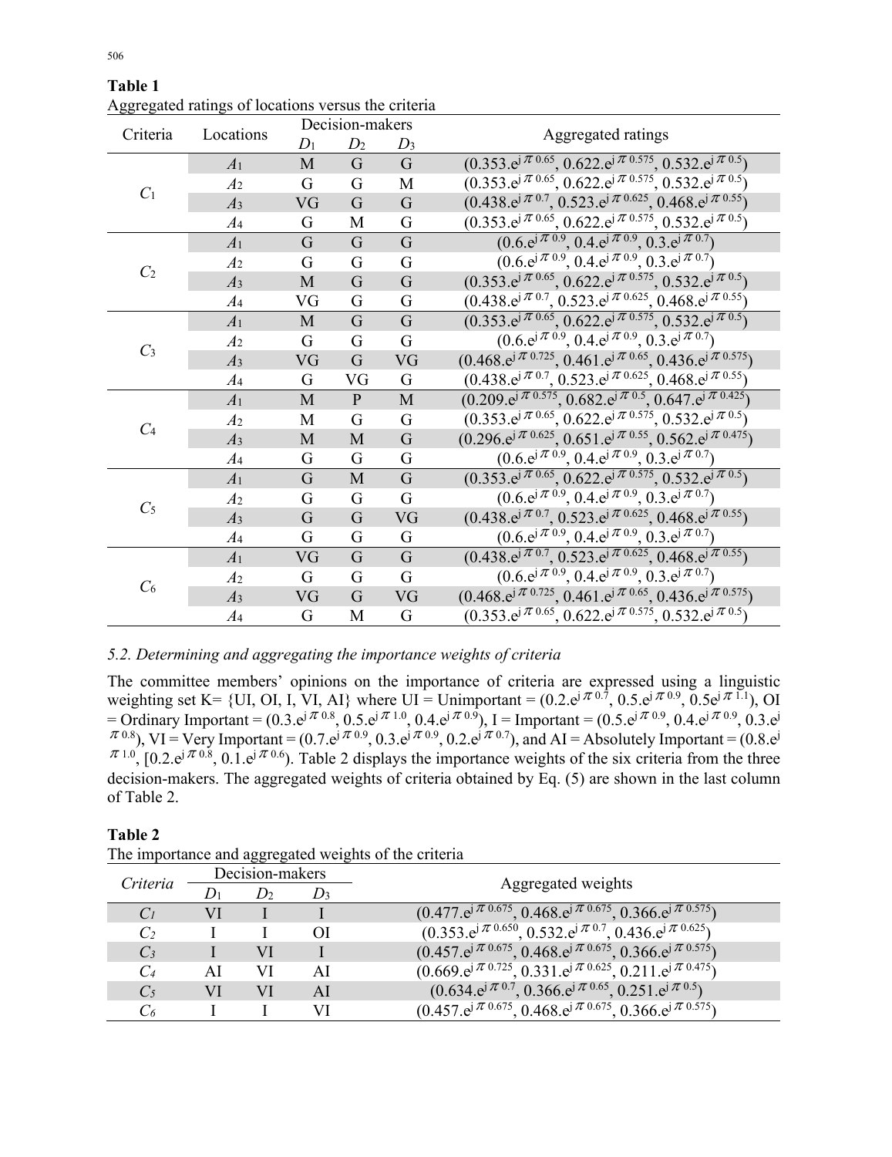| Criteria       | Locations      | Decision-makers |                |                |                                                                                                                      |  |  |
|----------------|----------------|-----------------|----------------|----------------|----------------------------------------------------------------------------------------------------------------------|--|--|
|                |                | $D_1$           | D <sub>2</sub> | $D_3$          | Aggregated ratings                                                                                                   |  |  |
| C <sub>1</sub> | A <sub>1</sub> | M               | $\mathbf G$    | $\mathbf G$    | $(0.353 \cdot e^{j\pi \overline{0.65}}, 0.622 \cdot e^{j\pi \overline{0.575}}, 0.532 \cdot e^{j\pi \overline{0.5}})$ |  |  |
|                | A <sub>2</sub> | G               | G              | M              | $(0.353 \cdot e^{j\pi 0.65}, 0.622 \cdot e^{j\pi 0.575}, 0.532 \cdot e^{j\pi 0.5})$                                  |  |  |
|                | A <sub>3</sub> | VG              | $\overline{G}$ | $\overline{G}$ | $(0.438 \cdot e^{j \pi 0.7}, 0.523 \cdot e^{j \pi 0.625}, 0.468 \cdot e^{j \pi 0.55})$                               |  |  |
|                | $A_4$          | G               | М              | G              | $(0.353 \text{.}e^{j\pi/0.65}, 0.622 \text{.}e^{j\pi/0.575}, 0.532 \text{.}e^{j\pi/0.5})$                            |  |  |
| C <sub>2</sub> | A <sub>1</sub> | G               | $\mathbf G$    | $\overline{G}$ | $(0.6 \cdot e^{j \pi 0.9}, 0.4 \cdot e^{j \pi 0.9}, 0.3 \cdot e^{j \pi 0.7})$                                        |  |  |
|                | A <sub>2</sub> | G               | G              | G              | $(0.6 \cdot e^{j\pi/0.9}, 0.4 \cdot e^{j\pi/0.9}, 0.3 \cdot e^{j\pi/0.7})$                                           |  |  |
|                | A <sub>3</sub> | $\mathbf{M}$    | G              | $\overline{G}$ | $(0.353 \cdot e^{j\pi 0.65}, 0.622 \cdot e^{j\pi 0.575}, 0.532 \cdot e^{j\pi 0.5})$                                  |  |  |
|                | $A_4$          | VG              | G              | G              | $(0.438 \cdot e^{j\pi/0.7}, 0.523 \cdot e^{j\pi/0.625}, 0.468 \cdot e^{j\pi/0.55})$                                  |  |  |
|                | A <sub>1</sub> | $\mathbf{M}$    | G              | G              | $(0.353 \text{.}e^{j\pi 0.65}, 0.622 \text{.}e^{j\pi 0.575}, 0.532 \text{.}e^{j\pi 0.5})$                            |  |  |
|                | A <sub>2</sub> | G               | G              | G              | $(0.6 \text{e}^{\mathrm{j} \pi \, 0.9}, 0.4 \text{e}^{\mathrm{j} \pi \, 0.9}, 0.3 \text{e}^{\mathrm{j} \pi \, 0.7})$ |  |  |
| $C_3$          | A <sub>3</sub> | VG              | $\overline{G}$ | VG             | $(0.468 \cdot e^{j \pi 0.725}, 0.461 \cdot e^{j \pi 0.65}, 0.436 \cdot e^{j \pi 0.575})$                             |  |  |
|                | $A_4$          | G               | VG             | G              | $(0.438 \cdot e^{j \pi \cdot 0.7}, 0.523 \cdot e^{j \pi \cdot 0.625}, 0.468 \cdot e^{j \pi \cdot 0.55})$             |  |  |
|                | A <sub>1</sub> | M               | $\mathbf{P}$   | $\mathbf M$    | $(0.209 \cdot e^{j\pi/0.575}, 0.682 \cdot e^{j\pi/0.5}, 0.647 \cdot e^{j\pi/0.425})$                                 |  |  |
|                | A <sub>2</sub> | M               | G              | G              | $(0.353 \cdot e^{j\pi/0.65}, 0.622 \cdot e^{j\pi/0.575}, 0.532 \cdot e^{j\pi/0.5})$                                  |  |  |
| C <sub>4</sub> | A <sub>3</sub> | M               | $\mathbf{M}$   | G              | $(0.296 \cdot e^{j\pi 0.625}, 0.651 \cdot e^{j\pi 0.55}, 0.562 \cdot e^{j\pi 0.475})$                                |  |  |
|                | $A_4$          | G               | G              | G              | $(0.6 \cdot e^{j \pi 0.9}, 0.4 \cdot e^{j \pi 0.9}, 0.3 \cdot e^{j \pi 0.7})$                                        |  |  |
|                | A <sub>1</sub> | G               | M              | $\overline{G}$ | $(0.353 \text{.}e^{j\pi 0.65}, 0.622 \text{.}e^{j\pi 0.575}, 0.532 \text{.}e^{j\pi 0.5})$                            |  |  |
|                | A <sub>2</sub> | G               | G              | G              | $(0.6 \cdot e^{j\pi/0.9}, 0.4 \cdot e^{j\pi/0.9}, 0.3 \cdot e^{j\pi/0.7})$                                           |  |  |
| C <sub>5</sub> | A <sub>3</sub> | G               | G              | VG             | $(0.438 \text{.}e^{j\pi/0.7}, 0.523 \text{.}e^{j\pi/0.625}, 0.468 \text{.}e^{j\pi/0.55})$                            |  |  |
|                | A <sub>4</sub> | G               | G              | G              | $(0.6 \text{e}^{\mathrm{j} \pi \, 0.9}, 0.4 \text{e}^{\mathrm{j} \pi \, 0.9}, 0.3 \text{e}^{\mathrm{j} \pi \, 0.7})$ |  |  |
| $C_6$          | A <sub>1</sub> | VG              | G              | G              | $(0.438 \cdot e^{j\pi/0.7}, 0.523 \cdot e^{j\pi/0.625}, 0.468 \cdot e^{j\pi/0.55})$                                  |  |  |
|                | A <sub>2</sub> | G               | G              | G              | $(0.6 \cdot e^{j \pi 0.9}, 0.4 \cdot e^{j \pi 0.9}, 0.3 \cdot e^{j \pi 0.7})$                                        |  |  |
|                | A <sub>3</sub> | VG              | G              | VG             | $(0.468 \text{.}e^{j\pi/0.725}, 0.461 \text{.}e^{j\pi/0.65}, 0.436 \text{.}e^{j\pi/0.575})$                          |  |  |
|                | A <sub>4</sub> | G               | M              | G              | $(0.353 \cdot e^{j\pi 0.65}, 0.622 \cdot e^{j\pi 0.575}, 0.532 \cdot e^{j\pi 0.5})$                                  |  |  |

**Table 1** Aggregated ratings of locations versus the criteria

## *5.2. Determining and aggregating the importance weights of criteria*

The committee members' opinions on the importance of criteria are expressed using a linguistic weighting set K= {UI, OI, I, VI, AI} where UI = Unimportant =  $(0.2 \text{e}^{j\pi/0.7}, 0.5 \text{e}^{j\pi/0.9}, 0.5 \text{e}^{j\pi/1.1}),$  OI = Ordinary Important = (0.3.e<sup>j  $\pi$  0.8</sup>, 0.5.e<sup>j  $\pi$  1.0</sup>, 0.4.e<sup>j  $\pi$  0.9), I = Important = (0.5.e<sup>j  $\pi$  0.9, 0.4.e<sup>j  $\pi$  0.9, 0.3.e<sup>j</sup></sup></sup></sup>  $(\pi^{0.8})$ , VI = Very Important = (0.7.e<sup>j  $(\pi^{0.9}, 0.3. e^{j \pi^{0.9}}, 0.2. e^{j \pi^{0.7}})$ , and AI = Absolutely Important = (0.8.e<sup>j</sup></sup>  $\pi^{1.0}$ ,  $[0.2. e^{j \pi 0.8}, 0.1. e^{j \pi 0.6}]$ . Table 2 displays the importance weights of the six criteria from the three decision-makers. The aggregated weights of criteria obtained by Eq. (5) are shown in the last column of Table 2.

### **Table 2**

| The importance and aggregated weights of the effect |                 |                |    |                                                                                                                                     |  |  |  |
|-----------------------------------------------------|-----------------|----------------|----|-------------------------------------------------------------------------------------------------------------------------------------|--|--|--|
| Criteria                                            | Decision-makers |                |    |                                                                                                                                     |  |  |  |
|                                                     |                 | $D_3$<br>$D_2$ |    | Aggregated weights                                                                                                                  |  |  |  |
| $C_I$                                               | VI              |                |    | $(0.477 \text{ e}^{\mathsf{j} \pi} \pi^{0.675}, 0.468 \text{ e}^{\mathsf{j} \pi^{0.675}, 0.366 \text{ e}^{\mathsf{j} \pi^{0.575}})$ |  |  |  |
| C <sub>2</sub>                                      |                 |                | ОI | $(0.353 \text{.}e^{j\pi/0.650}, 0.532 \text{.}e^{j\pi/0.7}, 0.436 \text{.}e^{j\pi/0.625})$                                          |  |  |  |
| $C_3$                                               |                 | VI             |    | $(0.457 \text{e}^{j \pi/0.675}, 0.468 \text{e}^{j \pi/0.675}, 0.366 \text{e}^{j \pi/0.575})$                                        |  |  |  |
| $C_4$                                               | AI              | VI             | AI | $(0.669 \text{.e}^{j \pi 0.725}, 0.331 \text{.e}^{j \pi 0.625}, 0.211 \text{.e}^{j \pi 0.475})$                                     |  |  |  |
| $C_5$                                               | VI              | VI             | AI | $(0.634 \text{.}e^{j\pi/0.7}, 0.366 \text{.}e^{j\pi/0.65}, 0.251 \text{.}e^{j\pi/0.5})$                                             |  |  |  |
|                                                     |                 |                | VI | $(0.457 \text{e}^{j\pi/0.675}, 0.468 \text{e}^{j\pi/0.675}, 0.366 \text{e}^{j\pi/0.575})$                                           |  |  |  |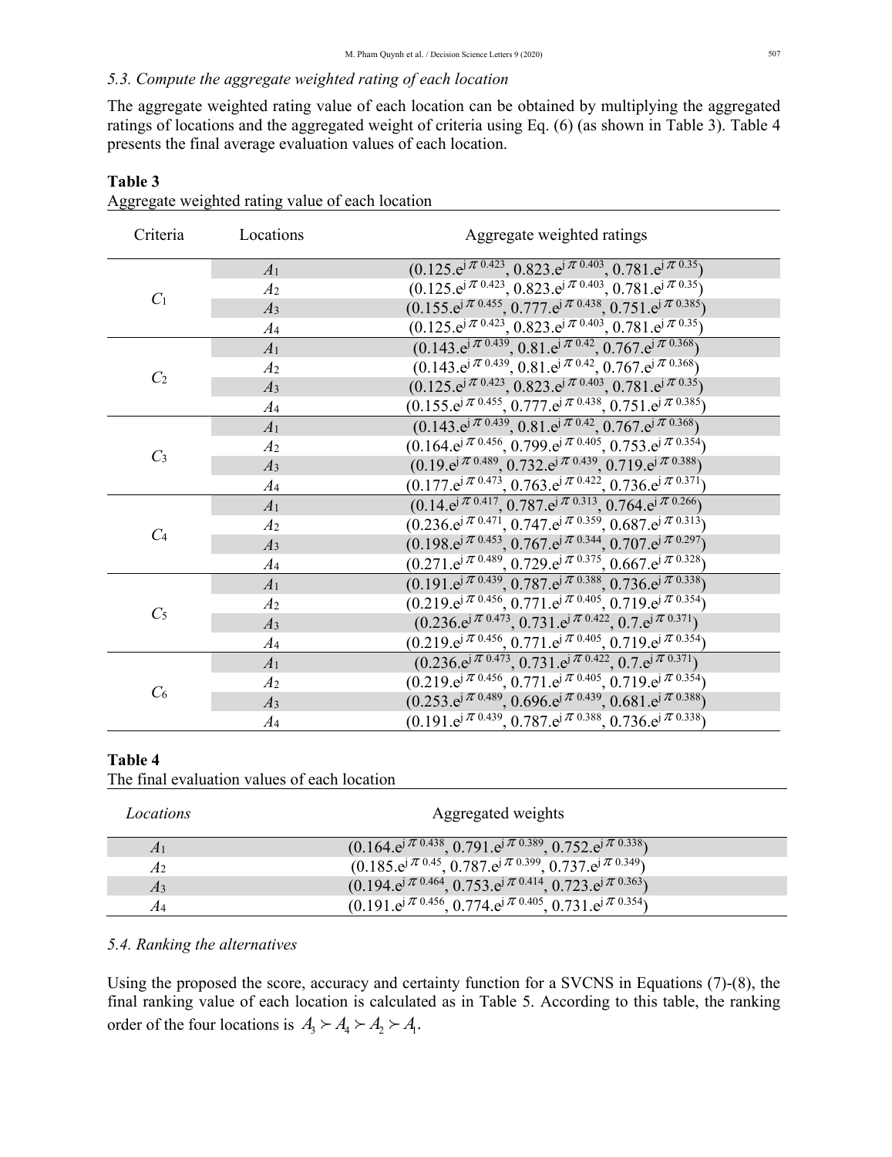# *5.3. Compute the aggregate weighted rating of each location*

The aggregate weighted rating value of each location can be obtained by multiplying the aggregated ratings of locations and the aggregated weight of criteria using Eq. (6) (as shown in Table 3). Table 4 presents the final average evaluation values of each location.

| Criteria       | Locations       | Aggregate weighted ratings                                                                                                            |
|----------------|-----------------|---------------------------------------------------------------------------------------------------------------------------------------|
|                | A <sub>1</sub>  | $(0.125 \text{.}e^{j\pi/0.423}, 0.823 \text{.}e^{j\pi/0.403}, 0.781 \text{.}e^{j\pi/0.35})$                                           |
| C <sub>1</sub> | A <sub>2</sub>  | $(0.125 \text{.}e^{j\pi/0.423}, 0.823 \text{.}e^{j\pi/0.403}, 0.781 \text{.}e^{j\pi/0.35})$                                           |
|                | A <sub>3</sub>  | $(0.155 \cdot e^{j\pi/0.455}, 0.777 \cdot e^{j\pi/0.438}, 0.751 \cdot e^{j\pi/0.385})$                                                |
|                | $A_4$           | $(0.125 \text{.}e^{j\pi/0.423}, 0.823 \text{.}e^{j\pi/0.403}, 0.781 \text{.}e^{j\pi/0.35})$                                           |
|                | A <sub>1</sub>  | $(0.143 \text{e}^{j \pi/0.439}, 0.81 \text{e}^{j \pi/0.42}, 0.767 \text{e}^{j \pi/0.368})$                                            |
|                | A <sub>2</sub>  | $(0.143 \cdot e^{j\pi 0.439}, 0.81 \cdot e^{j\pi 0.42}, 0.767 \cdot e^{j\pi 0.368})$                                                  |
| C <sub>2</sub> | A <sub>3</sub>  | $(0.125 \text{.}e^{j\pi}$ 0.423, 0.823 $\text{.}e^{j\pi}$ 0.403, 0.781 $\text{.}e^{j\pi}$ 0.35)                                       |
|                | $\mathcal{A}_4$ | $(0.155 \text{.}e^{j\pi/0.455}, 0.777 \text{.}e^{j\pi/0.438}, 0.751 \text{.}e^{j\pi/0.385})$                                          |
|                | A <sub>1</sub>  | $(0.143 \text{.}e^{j\pi/0.439}, 0.81 \text{.}e^{j\pi/0.42}, 0.767 \text{.}e^{j\pi/0.368})$                                            |
|                | A <sub>2</sub>  | $(0.164 \cdot e^{j \pi 0.456}, 0.799 \cdot e^{j \pi 0.405}, 0.753 \cdot e^{j \pi 0.354})$                                             |
| $C_3$          | A <sub>3</sub>  | $(0.19 \text{e}^{\mathrm{j} \pi \, 0.489}, 0.732 \text{e}^{\mathrm{j} \pi \, 0.439}, 0.719 \text{e}^{\mathrm{j} \pi \, 0.388})$       |
|                | A <sub>4</sub>  | $(0.177 \cdot e^{j\pi 0.473}, 0.763 \cdot e^{j\pi 0.422}, 0.736 \cdot e^{j\pi 0.371})$                                                |
|                | A <sub>1</sub>  | $(0.14 \text{e}^{\mathrm{j} \pi \, 0.417}, 0.787 \text{e}^{\mathrm{j} \pi \, 0.313}, 0.764 \text{e}^{\mathrm{j} \pi \, 0.266})$       |
|                | A <sub>2</sub>  | $(0.236 \text{.}e^{j\pi/0.471}, 0.747 \text{.}e^{j\pi/0.359}, 0.687 \text{.}e^{j\pi/0.313})$                                          |
| C <sub>4</sub> | A <sub>3</sub>  | $(0.198 \cdot e^{j\pi} \sqrt{0.453}, 0.767 \cdot e^{j\pi} \sqrt{0.344}, 0.707 \cdot e^{j\pi} \sqrt{0.297})$                           |
|                | A <sub>4</sub>  | $(0.271 \text{.}e^{j\pi/0.489}, 0.729 \text{.}e^{j\pi/0.375}, 0.667 \text{.}e^{j\pi/0.328})$                                          |
|                | A <sub>1</sub>  | $(0.191 \text{.e}^{j \pi/0.439}, 0.787 \text{.e}^{j \pi/0.388}, 0.736 \text{.e}^{j \pi/0.338})$                                       |
| $C_5$          | A <sub>2</sub>  | $(0.219 \text{.e}^{j \pi/0.456}, 0.771 \text{.e}^{j \pi/0.405}, 0.719 \text{.e}^{j \pi/0.354})$                                       |
|                | A <sub>3</sub>  | $(0.236 \cdot e^{j\pi 0.473}, 0.731 \cdot e^{j\pi 0.422}, 0.7 \cdot e^{j\pi 0.371})$                                                  |
|                | A <sub>4</sub>  | $(0.219 \text{.e}^{j \pi/0.456}, 0.771 \text{.e}^{j \pi/0.405}, 0.719 \text{.e}^{j \pi/0.354})$                                       |
| C <sub>6</sub> | A <sub>1</sub>  | $(0.236 \text{e}^{\mathrm{j} \pi/0.473}, 0.731 \text{e}^{\mathrm{j} \pi/0.422}, 0.7 \text{e}^{\mathrm{j} \pi/0.371})$                 |
|                | A <sub>2</sub>  | $(0.219 \text{.e}^{j \pi/0.456}, 0.771 \text{.e}^{j \pi/0.405}, 0.719 \text{.e}^{j \pi/0.354})$                                       |
|                | A <sub>3</sub>  | $(0.253 \text{.}e^{j\pi/0.489}, 0.696 \text{.}e^{j\pi/0.439}, 0.681 \text{.}e^{j\pi/0.388})$                                          |
|                | A <sub>4</sub>  | $(0.191 \text{e}^{j\pi}$ <sup>0.439</sup> , 0.787 e <sup>j <math>\pi</math>0.388</sup> , 0.736 e <sup>j <math>\pi</math>0.338</sup> ) |

### **Table 3**

Aggregate weighted rating value of each location

#### **Table 4**

The final evaluation values of each location

| Locations | Aggregated weights                                                                                                            |
|-----------|-------------------------------------------------------------------------------------------------------------------------------|
| A1        | $(0.164 \text{ e}^{\frac{j \pi}{2} 0.438}, 0.791 \text{ e}^{\frac{j \pi}{2} 0.389}, 0.752 \text{ e}^{\frac{j \pi}{2} 0.338})$ |
| А2        | $(0.185 \text{.}e^{j\pi}$ 0.45, 0.787 $\text{.}e^{j\pi}$ 0.399, 0.737 $\text{.}e^{j\pi}$ 0.349)                               |
| A3        | $(0.194 \text{ e}^{j\pi} \sqrt[0.464}, 0.753 \text{ e}^{j\pi} \sqrt[0.414}, 0.723 \text{ e}^{j\pi} \sqrt[0.363)})$            |
| A4        | $(0.191 \text{.}e^{j\pi/0.456}, 0.774 \text{.}e^{j\pi/0.405}, 0.731 \text{.}e^{j\pi/0.354})$                                  |

## *5.4. Ranking the alternatives*

Using the proposed the score, accuracy and certainty function for a SVCNS in Equations (7)-(8), the final ranking value of each location is calculated as in Table 5. According to this table, the ranking order of the four locations is  $A_3 \succ A_4 \succ A_2 \succ A_1$ .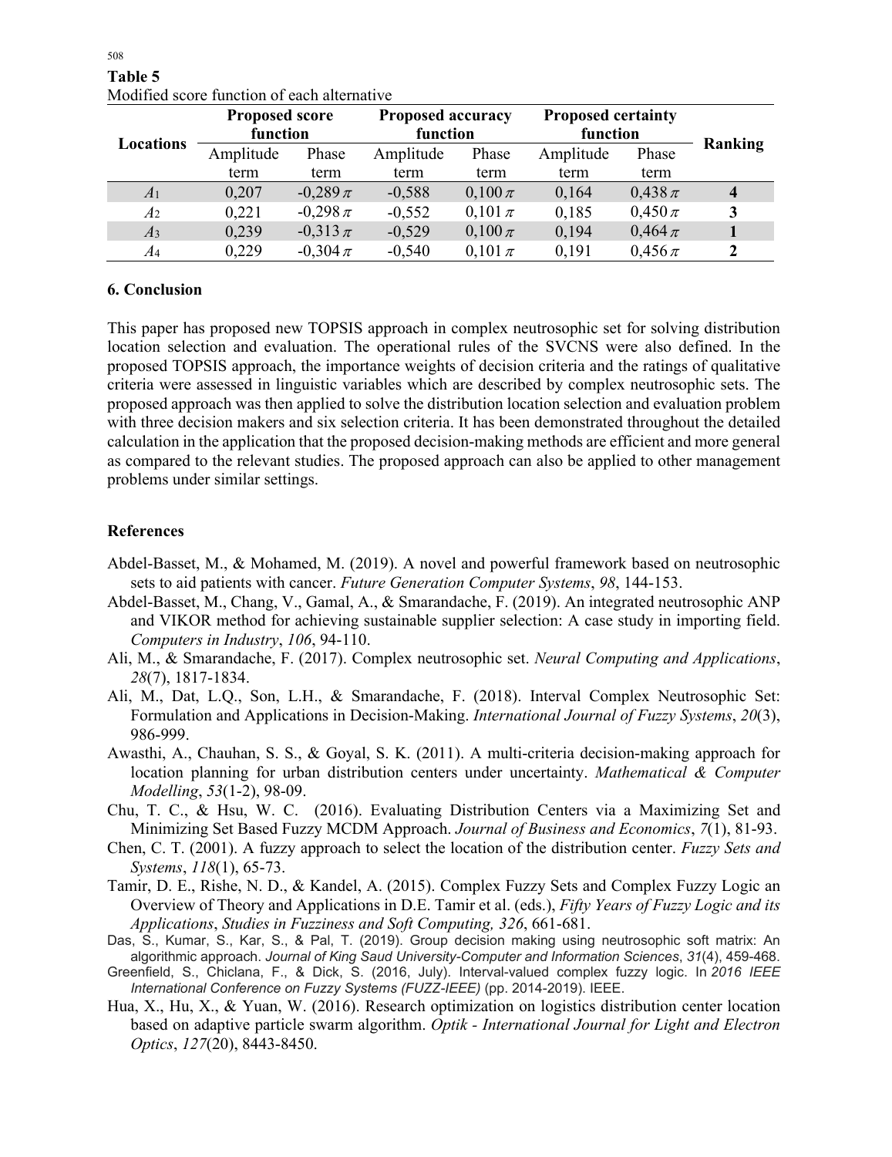| Locations      | <b>Proposed score</b><br>function |              | <b>Proposed accuracy</b><br>function |             | <b>Proposed certainty</b><br>function |             |         |
|----------------|-----------------------------------|--------------|--------------------------------------|-------------|---------------------------------------|-------------|---------|
|                | Amplitude                         | Phase        | Amplitude                            | Phase       | Amplitude                             | Phase       | Ranking |
|                | term                              | term         | term                                 | term        | term                                  | term        |         |
| A <sub>1</sub> | 0,207                             | $-0,289 \pi$ | $-0,588$                             | $0,100 \pi$ | 0,164                                 | $0,438 \pi$ |         |
| A <sub>2</sub> | 0,221                             | $-0,298 \pi$ | $-0,552$                             | $0,101 \pi$ | 0,185                                 | $0,450 \pi$ | 3       |
| A <sub>3</sub> | 0,239                             | $-0.313 \pi$ | $-0,529$                             | $0,100 \pi$ | 0,194                                 | $0,464 \pi$ |         |
| $A_4$          | 0,229                             | $-0,304 \pi$ | $-0,540$                             | $0,101 \pi$ | 0,191                                 | $0,456 \pi$ | 2       |

**Table 5** Modified score function of each alternative

### **6. Conclusion**

This paper has proposed new TOPSIS approach in complex neutrosophic set for solving distribution location selection and evaluation. The operational rules of the SVCNS were also defined. In the proposed TOPSIS approach, the importance weights of decision criteria and the ratings of qualitative criteria were assessed in linguistic variables which are described by complex neutrosophic sets. The proposed approach was then applied to solve the distribution location selection and evaluation problem with three decision makers and six selection criteria. It has been demonstrated throughout the detailed calculation in the application that the proposed decision-making methods are efficient and more general as compared to the relevant studies. The proposed approach can also be applied to other management problems under similar settings.

### **References**

- Abdel-Basset, M., & Mohamed, M. (2019). A novel and powerful framework based on neutrosophic sets to aid patients with cancer. *Future Generation Computer Systems*, *98*, 144-153.
- Abdel-Basset, M., Chang, V., Gamal, A., & Smarandache, F. (2019). An integrated neutrosophic ANP and VIKOR method for achieving sustainable supplier selection: A case study in importing field. *Computers in Industry*, *106*, 94-110.
- Ali, M., & Smarandache, F. (2017). Complex neutrosophic set. *Neural Computing and Applications*, *28*(7), 1817-1834.
- Ali, M., Dat, L.Q., Son, L.H., & Smarandache, F. (2018). Interval Complex Neutrosophic Set: Formulation and Applications in Decision-Making. *International Journal of Fuzzy Systems*, *20*(3), 986-999.
- Awasthi, A., Chauhan, S. S., & Goyal, S. K. (2011). A multi-criteria decision-making approach for location planning for urban distribution centers under uncertainty. *Mathematical & Computer Modelling*, *53*(1-2), 98-09.
- Chu, T. C., & Hsu, W. C. (2016). Evaluating Distribution Centers via a Maximizing Set and Minimizing Set Based Fuzzy MCDM Approach. *Journal of Business and Economics*, *7*(1), 81-93.
- Chen, C. T. (2001). A fuzzy approach to select the location of the distribution center. *Fuzzy Sets and Systems*, *118*(1), 65-73.
- Tamir, D. E., Rishe, N. D., & Kandel, A. (2015). Complex Fuzzy Sets and Complex Fuzzy Logic an Overview of Theory and Applications in D.E. Tamir et al. (eds.), *Fifty Years of Fuzzy Logic and its Applications*, *Studies in Fuzziness and Soft Computing, 326*, 661-681.
- Das, S., Kumar, S., Kar, S., & Pal, T. (2019). Group decision making using neutrosophic soft matrix: An algorithmic approach. *Journal of King Saud University-Computer and Information Sciences*, *31*(4), 459-468.
- Greenfield, S., Chiclana, F., & Dick, S. (2016, July). Interval-valued complex fuzzy logic. In *2016 IEEE International Conference on Fuzzy Systems (FUZZ-IEEE)* (pp. 2014-2019). IEEE.
- Hua, X., Hu, X., & Yuan, W. (2016). Research optimization on logistics distribution center location based on adaptive particle swarm algorithm. *Optik - International Journal for Light and Electron Optics*, *127*(20), 8443-8450.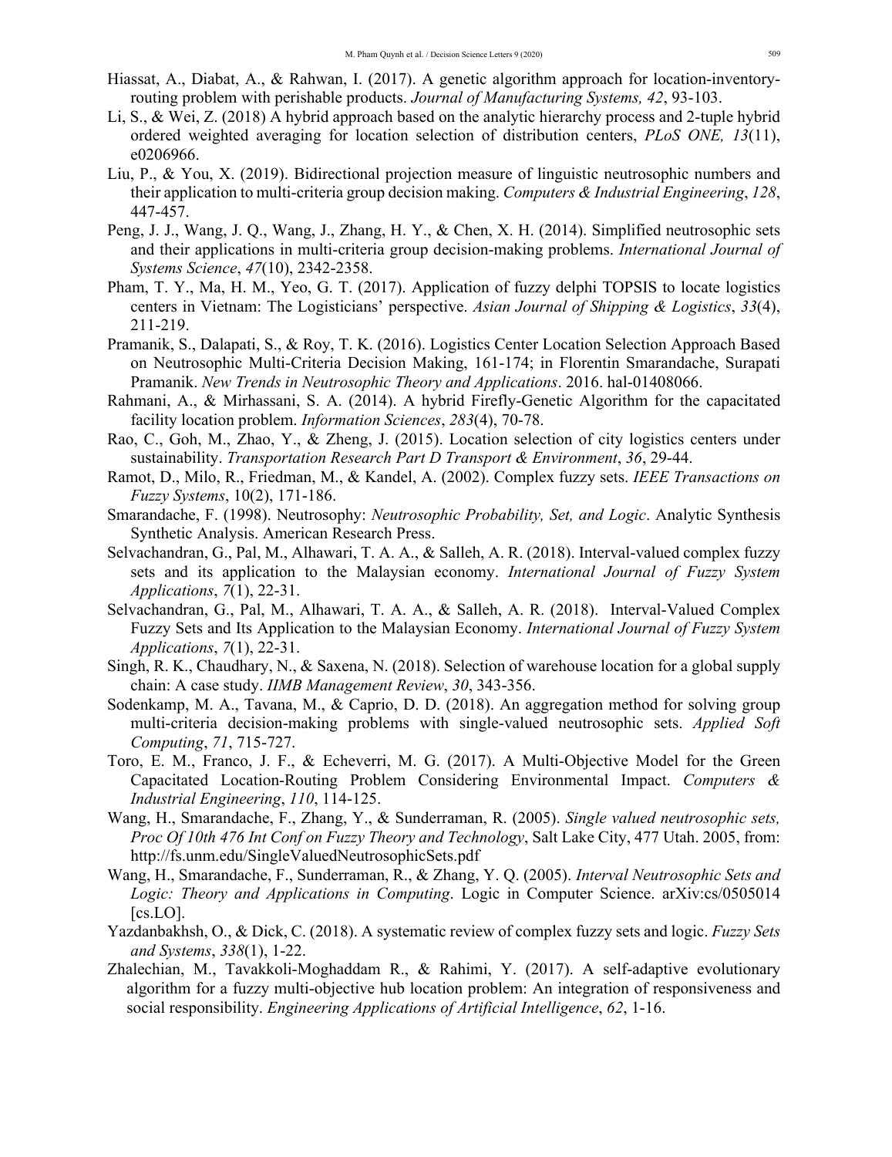- Hiassat, A., Diabat, A., & Rahwan, I. (2017). A genetic algorithm approach for location-inventoryrouting problem with perishable products. *Journal of Manufacturing Systems, 42*, 93-103.
- Li, S., & Wei, Z. (2018) A hybrid approach based on the analytic hierarchy process and 2-tuple hybrid ordered weighted averaging for location selection of distribution centers, *PLoS ONE, 13*(11), e0206966.
- Liu, P., & You, X. (2019). Bidirectional projection measure of linguistic neutrosophic numbers and their application to multi-criteria group decision making. *Computers & Industrial Engineering*, *128*, 447-457.
- Peng, J. J., Wang, J. Q., Wang, J., Zhang, H. Y., & Chen, X. H. (2014). Simplified neutrosophic sets and their applications in multi-criteria group decision-making problems. *International Journal of Systems Science*, *47*(10), 2342-2358.
- Pham, T. Y., Ma, H. M., Yeo, G. T. (2017). Application of fuzzy delphi TOPSIS to locate logistics centers in Vietnam: The Logisticians' perspective. *Asian Journal of Shipping & Logistics*, *33*(4), 211-219.
- Pramanik, S., Dalapati, S., & Roy, T. K. (2016). Logistics Center Location Selection Approach Based on Neutrosophic Multi-Criteria Decision Making, 161-174; in Florentin Smarandache, Surapati Pramanik. *New Trends in Neutrosophic Theory and Applications*. 2016. hal-01408066.
- Rahmani, A., & Mirhassani, S. A. (2014). A hybrid Firefly-Genetic Algorithm for the capacitated facility location problem. *Information Sciences*, *283*(4), 70-78.
- Rao, C., Goh, M., Zhao, Y., & Zheng, J. (2015). Location selection of city logistics centers under sustainability. *Transportation Research Part D Transport & Environment*, *36*, 29-44.
- Ramot, D., Milo, R., Friedman, M., & Kandel, A. (2002). Complex fuzzy sets. *IEEE Transactions on Fuzzy Systems*, 10(2), 171-186.
- Smarandache, F. (1998). Neutrosophy: *Neutrosophic Probability, Set, and Logic*. Analytic Synthesis Synthetic Analysis. American Research Press.
- Selvachandran, G., Pal, M., Alhawari, T. A. A., & Salleh, A. R. (2018). Interval-valued complex fuzzy sets and its application to the Malaysian economy. *International Journal of Fuzzy System Applications*, *7*(1), 22-31.
- Selvachandran, G., Pal, M., Alhawari, T. A. A., & Salleh, A. R. (2018). Interval-Valued Complex Fuzzy Sets and Its Application to the Malaysian Economy. *International Journal of Fuzzy System Applications*, *7*(1), 22-31.
- Singh, R. K., Chaudhary, N., & Saxena, N. (2018). Selection of warehouse location for a global supply chain: A case study. *IIMB Management Review*, *30*, 343-356.
- Sodenkamp, M. A., Tavana, M., & Caprio, D. D. (2018). An aggregation method for solving group multi-criteria decision-making problems with single-valued neutrosophic sets. *Applied Soft Computing*, *71*, 715-727.
- Toro, E. M., Franco, J. F., & Echeverri, M. G. (2017). A Multi-Objective Model for the Green Capacitated Location-Routing Problem Considering Environmental Impact. *Computers & Industrial Engineering*, *110*, 114-125.
- Wang, H., Smarandache, F., Zhang, Y., & Sunderraman, R. (2005). *Single valued neutrosophic sets, Proc Of 10th 476 Int Conf on Fuzzy Theory and Technology*, Salt Lake City, 477 Utah. 2005, from: http://fs.unm.edu/SingleValuedNeutrosophicSets.pdf
- Wang, H., Smarandache, F., Sunderraman, R., & Zhang, Y. Q. (2005). *Interval Neutrosophic Sets and Logic: Theory and Applications in Computing*. Logic in Computer Science. arXiv:cs/0505014 [cs.LO].
- Yazdanbakhsh, O., & Dick, C. (2018). A systematic review of complex fuzzy sets and logic. *Fuzzy Sets and Systems*, *338*(1), 1-22.
- Zhalechian, M., Tavakkoli-Moghaddam R., & Rahimi, Y. (2017). A self-adaptive evolutionary algorithm for a fuzzy multi-objective hub location problem: An integration of responsiveness and social responsibility. *Engineering Applications of Artificial Intelligence*, *62*, 1-16.